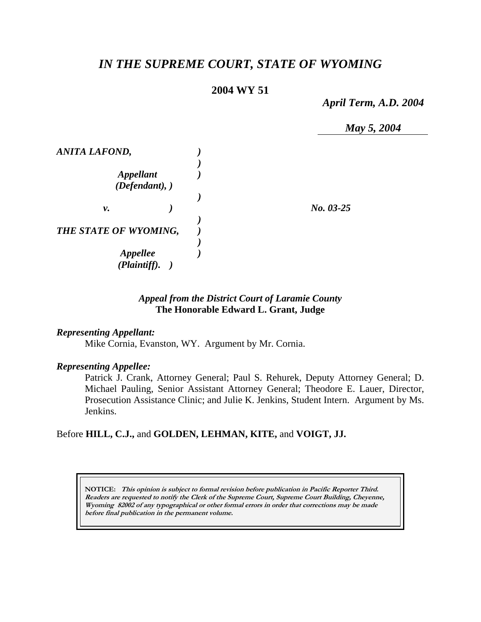# *IN THE SUPREME COURT, STATE OF WYOMING*

# **2004 WY 51**

*April Term, A.D. 2004* 



# *Appeal from the District Court of Laramie County* **The Honorable Edward L. Grant, Judge**

#### *Representing Appellant:*

Mike Cornia, Evanston, WY. Argument by Mr. Cornia.

#### *Representing Appellee:*

Patrick J. Crank, Attorney General; Paul S. Rehurek, Deputy Attorney General; D. Michael Pauling, Senior Assistant Attorney General; Theodore E. Lauer, Director, Prosecution Assistance Clinic; and Julie K. Jenkins, Student Intern. Argument by Ms. Jenkins.

### Before **HILL, C.J.,** and **GOLDEN, LEHMAN, KITE,** and **VOIGT, JJ.**

**NOTICE: This opinion is subject to formal revision before publication in Pacific Reporter Third. Readers are requested to notify the Clerk of the Supreme Court, Supreme Court Building, Cheyenne, Wyoming 82002 of any typographical or other formal errors in order that corrections may be made before final publication in the permanent volume.**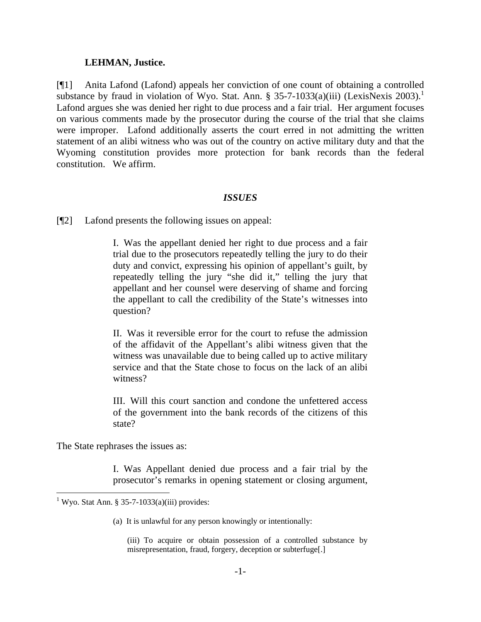#### **LEHMAN, Justice.**

[¶1] Anita Lafond (Lafond) appeals her conviction of one count of obtaining a controlled substance by fraud in violation of Wyo. Stat. Ann. § 35-7-1033(a)(iii) (LexisNexis 2003).<sup>1</sup> Lafond argues she was denied her right to due process and a fair trial. Her argument focuses on various comments made by the prosecutor during the course of the trial that she claims were improper. Lafond additionally asserts the court erred in not admitting the written statement of an alibi witness who was out of the country on active military duty and that the Wyoming constitution provides more protection for bank records than the federal constitution. We affirm.

#### *ISSUES*

[¶2] Lafond presents the following issues on appeal:

I. Was the appellant denied her right to due process and a fair trial due to the prosecutors repeatedly telling the jury to do their duty and convict, expressing his opinion of appellant's guilt, by repeatedly telling the jury "she did it," telling the jury that appellant and her counsel were deserving of shame and forcing the appellant to call the credibility of the State's witnesses into question?

II. Was it reversible error for the court to refuse the admission of the affidavit of the Appellant's alibi witness given that the witness was unavailable due to being called up to active military service and that the State chose to focus on the lack of an alibi witness?

III. Will this court sanction and condone the unfettered access of the government into the bank records of the citizens of this state?

The State rephrases the issues as:

I. Was Appellant denied due process and a fair trial by the prosecutor's remarks in opening statement or closing argument,

(a) It is unlawful for any person knowingly or intentionally:

 1 Wyo. Stat Ann. § 35-7-1033(a)(iii) provides:

<sup>(</sup>iii) To acquire or obtain possession of a controlled substance by misrepresentation, fraud, forgery, deception or subterfuge[.]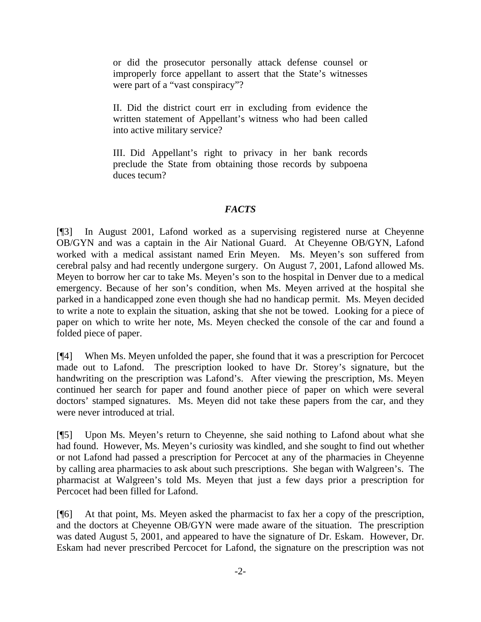or did the prosecutor personally attack defense counsel or improperly force appellant to assert that the State's witnesses were part of a "vast conspiracy"?

II. Did the district court err in excluding from evidence the written statement of Appellant's witness who had been called into active military service?

III. Did Appellant's right to privacy in her bank records preclude the State from obtaining those records by subpoena duces tecum?

# *FACTS*

[¶3] In August 2001, Lafond worked as a supervising registered nurse at Cheyenne OB/GYN and was a captain in the Air National Guard. At Cheyenne OB/GYN, Lafond worked with a medical assistant named Erin Meyen. Ms. Meyen's son suffered from cerebral palsy and had recently undergone surgery. On August 7, 2001, Lafond allowed Ms. Meyen to borrow her car to take Ms. Meyen's son to the hospital in Denver due to a medical emergency. Because of her son's condition, when Ms. Meyen arrived at the hospital she parked in a handicapped zone even though she had no handicap permit. Ms. Meyen decided to write a note to explain the situation, asking that she not be towed. Looking for a piece of paper on which to write her note, Ms. Meyen checked the console of the car and found a folded piece of paper.

[¶4] When Ms. Meyen unfolded the paper, she found that it was a prescription for Percocet made out to Lafond. The prescription looked to have Dr. Storey's signature, but the handwriting on the prescription was Lafond's. After viewing the prescription, Ms. Meyen continued her search for paper and found another piece of paper on which were several doctors' stamped signatures. Ms. Meyen did not take these papers from the car, and they were never introduced at trial.

[¶5] Upon Ms. Meyen's return to Cheyenne, she said nothing to Lafond about what she had found. However, Ms. Meyen's curiosity was kindled, and she sought to find out whether or not Lafond had passed a prescription for Percocet at any of the pharmacies in Cheyenne by calling area pharmacies to ask about such prescriptions. She began with Walgreen's. The pharmacist at Walgreen's told Ms. Meyen that just a few days prior a prescription for Percocet had been filled for Lafond.

[¶6] At that point, Ms. Meyen asked the pharmacist to fax her a copy of the prescription, and the doctors at Cheyenne OB/GYN were made aware of the situation. The prescription was dated August 5, 2001, and appeared to have the signature of Dr. Eskam. However, Dr. Eskam had never prescribed Percocet for Lafond, the signature on the prescription was not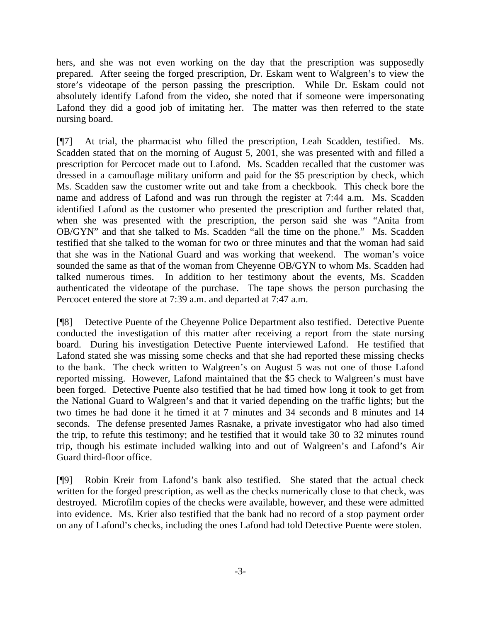hers, and she was not even working on the day that the prescription was supposedly prepared. After seeing the forged prescription, Dr. Eskam went to Walgreen's to view the store's videotape of the person passing the prescription. While Dr. Eskam could not absolutely identify Lafond from the video, she noted that if someone were impersonating Lafond they did a good job of imitating her. The matter was then referred to the state nursing board.

[¶7] At trial, the pharmacist who filled the prescription, Leah Scadden, testified. Ms. Scadden stated that on the morning of August 5, 2001, she was presented with and filled a prescription for Percocet made out to Lafond. Ms. Scadden recalled that the customer was dressed in a camouflage military uniform and paid for the \$5 prescription by check, which Ms. Scadden saw the customer write out and take from a checkbook. This check bore the name and address of Lafond and was run through the register at 7:44 a.m. Ms. Scadden identified Lafond as the customer who presented the prescription and further related that, when she was presented with the prescription, the person said she was "Anita from OB/GYN" and that she talked to Ms. Scadden "all the time on the phone." Ms. Scadden testified that she talked to the woman for two or three minutes and that the woman had said that she was in the National Guard and was working that weekend. The woman's voice sounded the same as that of the woman from Cheyenne OB/GYN to whom Ms. Scadden had talked numerous times. In addition to her testimony about the events, Ms. Scadden authenticated the videotape of the purchase. The tape shows the person purchasing the Percocet entered the store at 7:39 a.m. and departed at 7:47 a.m.

[¶8] Detective Puente of the Cheyenne Police Department also testified. Detective Puente conducted the investigation of this matter after receiving a report from the state nursing board. During his investigation Detective Puente interviewed Lafond. He testified that Lafond stated she was missing some checks and that she had reported these missing checks to the bank. The check written to Walgreen's on August 5 was not one of those Lafond reported missing. However, Lafond maintained that the \$5 check to Walgreen's must have been forged. Detective Puente also testified that he had timed how long it took to get from the National Guard to Walgreen's and that it varied depending on the traffic lights; but the two times he had done it he timed it at 7 minutes and 34 seconds and 8 minutes and 14 seconds. The defense presented James Rasnake, a private investigator who had also timed the trip, to refute this testimony; and he testified that it would take 30 to 32 minutes round trip, though his estimate included walking into and out of Walgreen's and Lafond's Air Guard third-floor office.

[¶9] Robin Kreir from Lafond's bank also testified. She stated that the actual check written for the forged prescription, as well as the checks numerically close to that check, was destroyed. Microfilm copies of the checks were available, however, and these were admitted into evidence. Ms. Krier also testified that the bank had no record of a stop payment order on any of Lafond's checks, including the ones Lafond had told Detective Puente were stolen.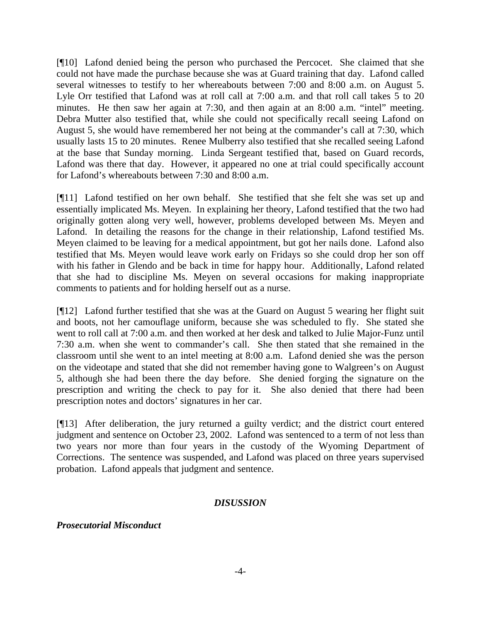[¶10] Lafond denied being the person who purchased the Percocet. She claimed that she could not have made the purchase because she was at Guard training that day. Lafond called several witnesses to testify to her whereabouts between 7:00 and 8:00 a.m. on August 5. Lyle Orr testified that Lafond was at roll call at 7:00 a.m. and that roll call takes 5 to 20 minutes. He then saw her again at 7:30, and then again at an 8:00 a.m. "intel" meeting. Debra Mutter also testified that, while she could not specifically recall seeing Lafond on August 5, she would have remembered her not being at the commander's call at 7:30, which usually lasts 15 to 20 minutes. Renee Mulberry also testified that she recalled seeing Lafond at the base that Sunday morning. Linda Sergeant testified that, based on Guard records, Lafond was there that day. However, it appeared no one at trial could specifically account for Lafond's whereabouts between 7:30 and 8:00 a.m.

[¶11] Lafond testified on her own behalf. She testified that she felt she was set up and essentially implicated Ms. Meyen. In explaining her theory, Lafond testified that the two had originally gotten along very well, however, problems developed between Ms. Meyen and Lafond. In detailing the reasons for the change in their relationship, Lafond testified Ms. Meyen claimed to be leaving for a medical appointment, but got her nails done. Lafond also testified that Ms. Meyen would leave work early on Fridays so she could drop her son off with his father in Glendo and be back in time for happy hour. Additionally, Lafond related that she had to discipline Ms. Meyen on several occasions for making inappropriate comments to patients and for holding herself out as a nurse.

[¶12] Lafond further testified that she was at the Guard on August 5 wearing her flight suit and boots, not her camouflage uniform, because she was scheduled to fly. She stated she went to roll call at 7:00 a.m. and then worked at her desk and talked to Julie Major-Funz until 7:30 a.m. when she went to commander's call. She then stated that she remained in the classroom until she went to an intel meeting at 8:00 a.m. Lafond denied she was the person on the videotape and stated that she did not remember having gone to Walgreen's on August 5, although she had been there the day before. She denied forging the signature on the prescription and writing the check to pay for it. She also denied that there had been prescription notes and doctors' signatures in her car.

[¶13] After deliberation, the jury returned a guilty verdict; and the district court entered judgment and sentence on October 23, 2002. Lafond was sentenced to a term of not less than two years nor more than four years in the custody of the Wyoming Department of Corrections. The sentence was suspended, and Lafond was placed on three years supervised probation. Lafond appeals that judgment and sentence.

### *DISUSSION*

*Prosecutorial Misconduct*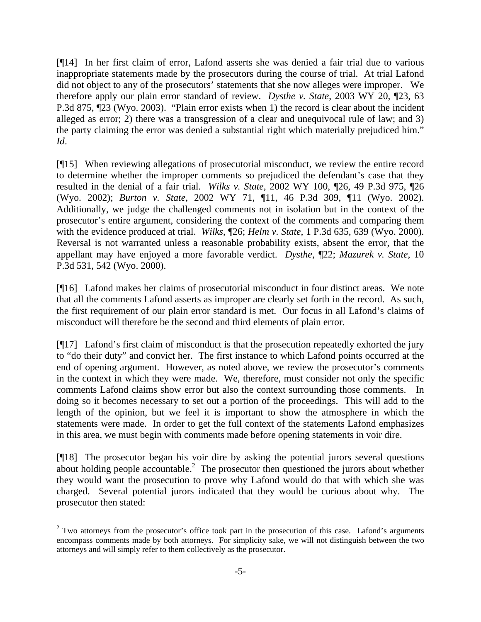[¶14] In her first claim of error, Lafond asserts she was denied a fair trial due to various inappropriate statements made by the prosecutors during the course of trial. At trial Lafond did not object to any of the prosecutors' statements that she now alleges were improper. We therefore apply our plain error standard of review. *Dysthe v. State*, 2003 WY 20, ¶23, 63 P.3d 875, ¶23 (Wyo. 2003). "Plain error exists when 1) the record is clear about the incident alleged as error; 2) there was a transgression of a clear and unequivocal rule of law; and 3) the party claiming the error was denied a substantial right which materially prejudiced him." *Id*.

[¶15] When reviewing allegations of prosecutorial misconduct, we review the entire record to determine whether the improper comments so prejudiced the defendant's case that they resulted in the denial of a fair trial. *Wilks v. State*, 2002 WY 100, ¶26, 49 P.3d 975, ¶26 (Wyo. 2002); *Burton v. State*, 2002 WY 71, ¶11, 46 P.3d 309, ¶11 (Wyo. 2002). Additionally, we judge the challenged comments not in isolation but in the context of the prosecutor's entire argument, considering the context of the comments and comparing them with the evidence produced at trial. *Wilks*, ¶26; *Helm v. State*, 1 P.3d 635, 639 (Wyo. 2000). Reversal is not warranted unless a reasonable probability exists, absent the error, that the appellant may have enjoyed a more favorable verdict. *Dysthe*, ¶22; *Mazurek v. State*, 10 P.3d 531, 542 (Wyo. 2000).

[¶16] Lafond makes her claims of prosecutorial misconduct in four distinct areas. We note that all the comments Lafond asserts as improper are clearly set forth in the record. As such, the first requirement of our plain error standard is met. Our focus in all Lafond's claims of misconduct will therefore be the second and third elements of plain error.

[¶17] Lafond's first claim of misconduct is that the prosecution repeatedly exhorted the jury to "do their duty" and convict her. The first instance to which Lafond points occurred at the end of opening argument. However, as noted above, we review the prosecutor's comments in the context in which they were made. We, therefore, must consider not only the specific comments Lafond claims show error but also the context surrounding those comments. In doing so it becomes necessary to set out a portion of the proceedings. This will add to the length of the opinion, but we feel it is important to show the atmosphere in which the statements were made. In order to get the full context of the statements Lafond emphasizes in this area, we must begin with comments made before opening statements in voir dire.

[¶18] The prosecutor began his voir dire by asking the potential jurors several questions about holding people accountable.<sup>2</sup> The prosecutor then questioned the jurors about whether they would want the prosecution to prove why Lafond would do that with which she was charged. Several potential jurors indicated that they would be curious about why. The prosecutor then stated:

l

 $2$  Two attorneys from the prosecutor's office took part in the prosecution of this case. Lafond's arguments encompass comments made by both attorneys. For simplicity sake, we will not distinguish between the two attorneys and will simply refer to them collectively as the prosecutor.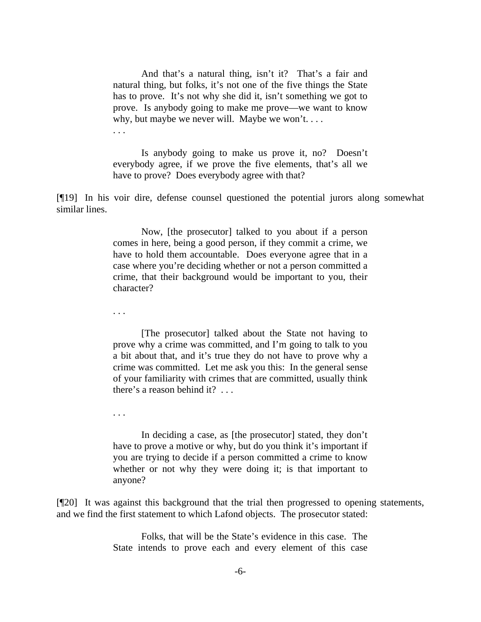And that's a natural thing, isn't it? That's a fair and natural thing, but folks, it's not one of the five things the State has to prove. It's not why she did it, isn't something we got to prove. Is anybody going to make me prove—we want to know why, but maybe we never will. Maybe we won't. . . . . . .

 Is anybody going to make us prove it, no? Doesn't everybody agree, if we prove the five elements, that's all we have to prove? Does everybody agree with that?

[¶19] In his voir dire, defense counsel questioned the potential jurors along somewhat similar lines.

> Now, [the prosecutor] talked to you about if a person comes in here, being a good person, if they commit a crime, we have to hold them accountable. Does everyone agree that in a case where you're deciding whether or not a person committed a crime, that their background would be important to you, their character?

. . .

 [The prosecutor] talked about the State not having to prove why a crime was committed, and I'm going to talk to you a bit about that, and it's true they do not have to prove why a crime was committed. Let me ask you this: In the general sense of your familiarity with crimes that are committed, usually think there's a reason behind it? . . .

. . .

 In deciding a case, as [the prosecutor] stated, they don't have to prove a motive or why, but do you think it's important if you are trying to decide if a person committed a crime to know whether or not why they were doing it; is that important to anyone?

[¶20] It was against this background that the trial then progressed to opening statements, and we find the first statement to which Lafond objects. The prosecutor stated:

> Folks, that will be the State's evidence in this case. The State intends to prove each and every element of this case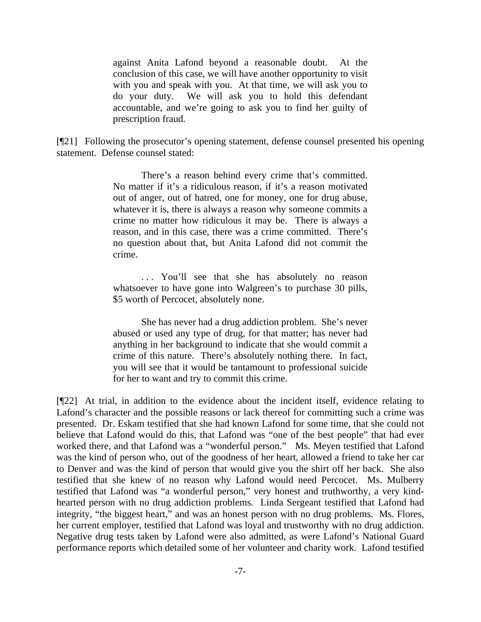against Anita Lafond beyond a reasonable doubt. At the conclusion of this case, we will have another opportunity to visit with you and speak with you. At that time, we will ask you to do your duty. We will ask you to hold this defendant accountable, and we're going to ask you to find her guilty of prescription fraud.

[¶21] Following the prosecutor's opening statement, defense counsel presented his opening statement. Defense counsel stated:

> There's a reason behind every crime that's committed. No matter if it's a ridiculous reason, if it's a reason motivated out of anger, out of hatred, one for money, one for drug abuse, whatever it is, there is always a reason why someone commits a crime no matter how ridiculous it may be. There is always a reason, and in this case, there was a crime committed. There's no question about that, but Anita Lafond did not commit the crime.

> . . . You'll see that she has absolutely no reason whatsoever to have gone into Walgreen's to purchase 30 pills, \$5 worth of Percocet, absolutely none.

> She has never had a drug addiction problem. She's never abused or used any type of drug, for that matter; has never had anything in her background to indicate that she would commit a crime of this nature. There's absolutely nothing there. In fact, you will see that it would be tantamount to professional suicide for her to want and try to commit this crime.

[¶22] At trial, in addition to the evidence about the incident itself, evidence relating to Lafond's character and the possible reasons or lack thereof for committing such a crime was presented. Dr. Eskam testified that she had known Lafond for some time, that she could not believe that Lafond would do this, that Lafond was "one of the best people" that had ever worked there, and that Lafond was a "wonderful person." Ms. Meyen testified that Lafond was the kind of person who, out of the goodness of her heart, allowed a friend to take her car to Denver and was the kind of person that would give you the shirt off her back. She also testified that she knew of no reason why Lafond would need Percocet. Ms. Mulberry testified that Lafond was "a wonderful person," very honest and truthworthy, a very kindhearted person with no drug addiction problems. Linda Sergeant testified that Lafond had integrity, "the biggest heart," and was an honest person with no drug problems. Ms. Flores, her current employer, testified that Lafond was loyal and trustworthy with no drug addiction. Negative drug tests taken by Lafond were also admitted, as were Lafond's National Guard performance reports which detailed some of her volunteer and charity work. Lafond testified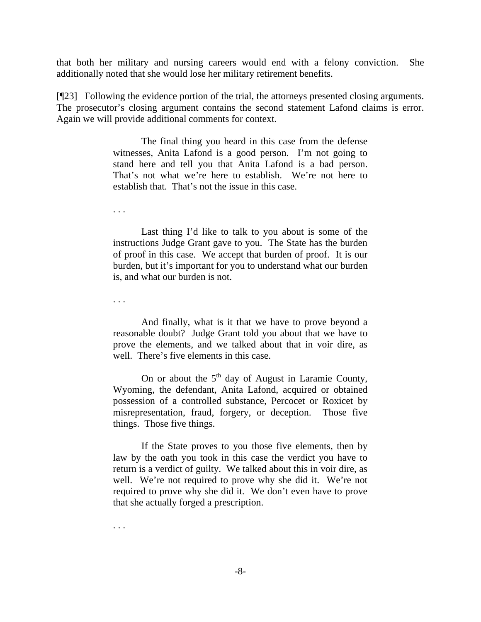that both her military and nursing careers would end with a felony conviction. She additionally noted that she would lose her military retirement benefits.

[¶23] Following the evidence portion of the trial, the attorneys presented closing arguments. The prosecutor's closing argument contains the second statement Lafond claims is error. Again we will provide additional comments for context.

> The final thing you heard in this case from the defense witnesses, Anita Lafond is a good person. I'm not going to stand here and tell you that Anita Lafond is a bad person. That's not what we're here to establish. We're not here to establish that. That's not the issue in this case.

. . .

 Last thing I'd like to talk to you about is some of the instructions Judge Grant gave to you. The State has the burden of proof in this case. We accept that burden of proof. It is our burden, but it's important for you to understand what our burden is, and what our burden is not.

. . .

 And finally, what is it that we have to prove beyond a reasonable doubt? Judge Grant told you about that we have to prove the elements, and we talked about that in voir dire, as well. There's five elements in this case.

On or about the  $5<sup>th</sup>$  day of August in Laramie County, Wyoming, the defendant, Anita Lafond, acquired or obtained possession of a controlled substance, Percocet or Roxicet by misrepresentation, fraud, forgery, or deception. Those five things. Those five things.

 If the State proves to you those five elements, then by law by the oath you took in this case the verdict you have to return is a verdict of guilty. We talked about this in voir dire, as well. We're not required to prove why she did it. We're not required to prove why she did it. We don't even have to prove that she actually forged a prescription.

. . .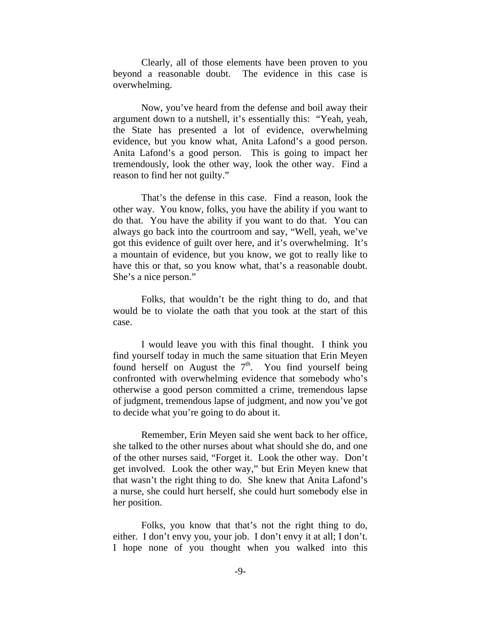Clearly, all of those elements have been proven to you beyond a reasonable doubt. The evidence in this case is overwhelming.

 Now, you've heard from the defense and boil away their argument down to a nutshell, it's essentially this: "Yeah, yeah, the State has presented a lot of evidence, overwhelming evidence, but you know what, Anita Lafond's a good person. Anita Lafond's a good person. This is going to impact her tremendously, look the other way, look the other way. Find a reason to find her not guilty."

 That's the defense in this case. Find a reason, look the other way. You know, folks, you have the ability if you want to do that. You have the ability if you want to do that. You can always go back into the courtroom and say, "Well, yeah, we've got this evidence of guilt over here, and it's overwhelming. It's a mountain of evidence, but you know, we got to really like to have this or that, so you know what, that's a reasonable doubt. She's a nice person."

 Folks, that wouldn't be the right thing to do, and that would be to violate the oath that you took at the start of this case.

 I would leave you with this final thought. I think you find yourself today in much the same situation that Erin Meyen found herself on August the  $7<sup>th</sup>$ . You find yourself being confronted with overwhelming evidence that somebody who's otherwise a good person committed a crime, tremendous lapse of judgment, tremendous lapse of judgment, and now you've got to decide what you're going to do about it.

 Remember, Erin Meyen said she went back to her office, she talked to the other nurses about what should she do, and one of the other nurses said, "Forget it. Look the other way. Don't get involved. Look the other way," but Erin Meyen knew that that wasn't the right thing to do. She knew that Anita Lafond's a nurse, she could hurt herself, she could hurt somebody else in her position.

 Folks, you know that that's not the right thing to do, either. I don't envy you, your job. I don't envy it at all; I don't. I hope none of you thought when you walked into this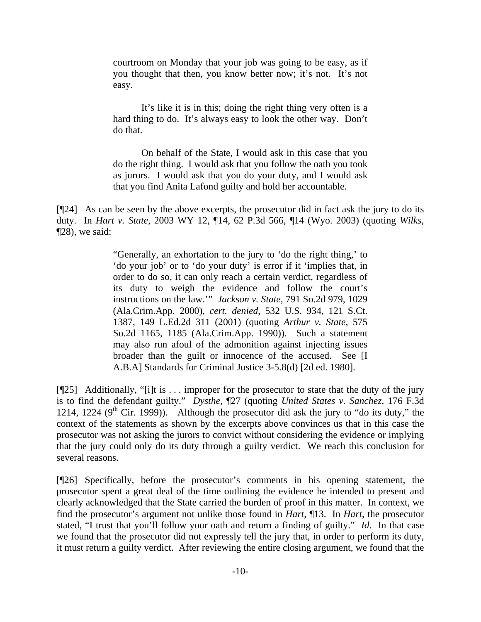courtroom on Monday that your job was going to be easy, as if you thought that then, you know better now; it's not. It's not easy.

 It's like it is in this; doing the right thing very often is a hard thing to do. It's always easy to look the other way. Don't do that.

 On behalf of the State, I would ask in this case that you do the right thing. I would ask that you follow the oath you took as jurors. I would ask that you do your duty, and I would ask that you find Anita Lafond guilty and hold her accountable.

[¶24] As can be seen by the above excerpts, the prosecutor did in fact ask the jury to do its duty. In *Hart v. State*, 2003 WY 12, ¶14, 62 P.3d 566, ¶14 (Wyo. 2003) (quoting *Wilks*, ¶28), we said:

> "Generally, an exhortation to the jury to 'do the right thing,' to 'do your job' or to 'do your duty' is error if it 'implies that, in order to do so, it can only reach a certain verdict, regardless of its duty to weigh the evidence and follow the court's instructions on the law.'" *Jackson v. State*, 791 So.2d 979, 1029 (Ala.Crim.App. 2000), *cert. denied*, 532 U.S. 934, 121 S.Ct. 1387, 149 L.Ed.2d 311 (2001) (quoting *Arthur v. State*, 575 So.2d 1165, 1185 (Ala.Crim.App. 1990)). Such a statement may also run afoul of the admonition against injecting issues broader than the guilt or innocence of the accused. See [I A.B.A] Standards for Criminal Justice 3-5.8(d) [2d ed. 1980].

[¶25] Additionally, "[i]t is . . . improper for the prosecutor to state that the duty of the jury is to find the defendant guilty." *Dysthe,* ¶27 (quoting *United States v. Sanchez*, 176 F.3d 1214, 1224 ( $9<sup>th</sup>$  Cir. 1999)). Although the prosecutor did ask the jury to "do its duty," the context of the statements as shown by the excerpts above convinces us that in this case the prosecutor was not asking the jurors to convict without considering the evidence or implying that the jury could only do its duty through a guilty verdict. We reach this conclusion for several reasons.

[¶26] Specifically, before the prosecutor's comments in his opening statement, the prosecutor spent a great deal of the time outlining the evidence he intended to present and clearly acknowledged that the State carried the burden of proof in this matter. In context, we find the prosecutor's argument not unlike those found in *Hart*, ¶13. In *Hart*, the prosecutor stated, "I trust that you'll follow your oath and return a finding of guilty." *Id*. In that case we found that the prosecutor did not expressly tell the jury that, in order to perform its duty, it must return a guilty verdict. After reviewing the entire closing argument, we found that the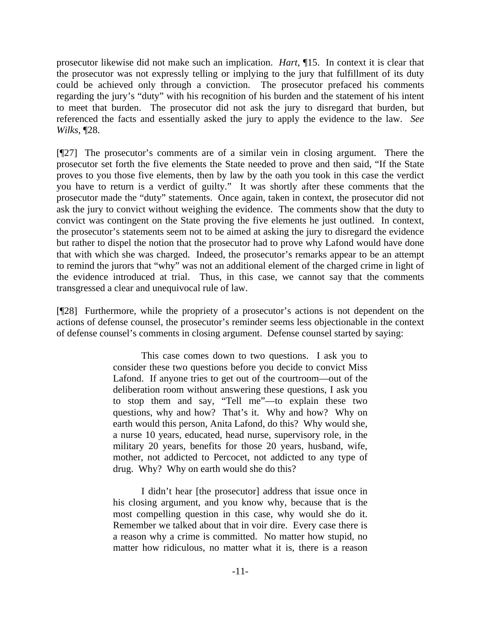prosecutor likewise did not make such an implication. *Hart*, ¶15. In context it is clear that the prosecutor was not expressly telling or implying to the jury that fulfillment of its duty could be achieved only through a conviction. The prosecutor prefaced his comments regarding the jury's "duty" with his recognition of his burden and the statement of his intent to meet that burden. The prosecutor did not ask the jury to disregard that burden, but referenced the facts and essentially asked the jury to apply the evidence to the law. *See Wilks*, ¶28.

[¶27] The prosecutor's comments are of a similar vein in closing argument. There the prosecutor set forth the five elements the State needed to prove and then said, "If the State proves to you those five elements, then by law by the oath you took in this case the verdict you have to return is a verdict of guilty." It was shortly after these comments that the prosecutor made the "duty" statements. Once again, taken in context, the prosecutor did not ask the jury to convict without weighing the evidence. The comments show that the duty to convict was contingent on the State proving the five elements he just outlined. In context, the prosecutor's statements seem not to be aimed at asking the jury to disregard the evidence but rather to dispel the notion that the prosecutor had to prove why Lafond would have done that with which she was charged. Indeed, the prosecutor's remarks appear to be an attempt to remind the jurors that "why" was not an additional element of the charged crime in light of the evidence introduced at trial. Thus, in this case, we cannot say that the comments transgressed a clear and unequivocal rule of law.

[¶28] Furthermore, while the propriety of a prosecutor's actions is not dependent on the actions of defense counsel, the prosecutor's reminder seems less objectionable in the context of defense counsel's comments in closing argument. Defense counsel started by saying:

> This case comes down to two questions. I ask you to consider these two questions before you decide to convict Miss Lafond. If anyone tries to get out of the courtroom—out of the deliberation room without answering these questions, I ask you to stop them and say, "Tell me"—to explain these two questions, why and how? That's it. Why and how? Why on earth would this person, Anita Lafond, do this? Why would she, a nurse 10 years, educated, head nurse, supervisory role, in the military 20 years, benefits for those 20 years, husband, wife, mother, not addicted to Percocet, not addicted to any type of drug. Why? Why on earth would she do this?

> I didn't hear [the prosecutor] address that issue once in his closing argument, and you know why, because that is the most compelling question in this case, why would she do it. Remember we talked about that in voir dire. Every case there is a reason why a crime is committed. No matter how stupid, no matter how ridiculous, no matter what it is, there is a reason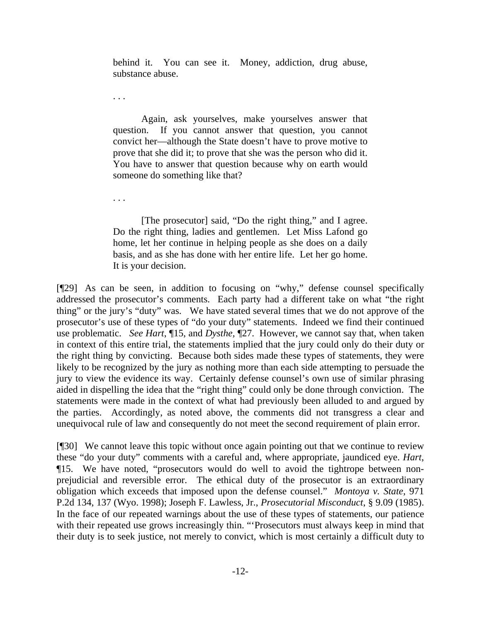behind it. You can see it. Money, addiction, drug abuse, substance abuse.

. . .

. . .

 Again, ask yourselves, make yourselves answer that question. If you cannot answer that question, you cannot convict her—although the State doesn't have to prove motive to prove that she did it; to prove that she was the person who did it. You have to answer that question because why on earth would someone do something like that?

 [The prosecutor] said, "Do the right thing," and I agree. Do the right thing, ladies and gentlemen. Let Miss Lafond go home, let her continue in helping people as she does on a daily basis, and as she has done with her entire life. Let her go home. It is your decision.

[¶29] As can be seen, in addition to focusing on "why," defense counsel specifically addressed the prosecutor's comments. Each party had a different take on what "the right thing" or the jury's "duty" was. We have stated several times that we do not approve of the prosecutor's use of these types of "do your duty" statements. Indeed we find their continued use problematic. *See Hart*, ¶15, and *Dysthe,* ¶27. However, we cannot say that, when taken in context of this entire trial, the statements implied that the jury could only do their duty or the right thing by convicting. Because both sides made these types of statements, they were likely to be recognized by the jury as nothing more than each side attempting to persuade the jury to view the evidence its way. Certainly defense counsel's own use of similar phrasing aided in dispelling the idea that the "right thing" could only be done through conviction. The statements were made in the context of what had previously been alluded to and argued by the parties. Accordingly, as noted above, the comments did not transgress a clear and unequivocal rule of law and consequently do not meet the second requirement of plain error.

[¶30] We cannot leave this topic without once again pointing out that we continue to review these "do your duty" comments with a careful and, where appropriate, jaundiced eye. *Hart*, ¶15. We have noted, "prosecutors would do well to avoid the tightrope between nonprejudicial and reversible error. The ethical duty of the prosecutor is an extraordinary obligation which exceeds that imposed upon the defense counsel." *Montoya v. State*, 971 P.2d 134, 137 (Wyo. 1998); Joseph F. Lawless, Jr., *Prosecutorial Misconduct*, § 9.09 (1985). In the face of our repeated warnings about the use of these types of statements, our patience with their repeated use grows increasingly thin. "Prosecutors must always keep in mind that their duty is to seek justice, not merely to convict, which is most certainly a difficult duty to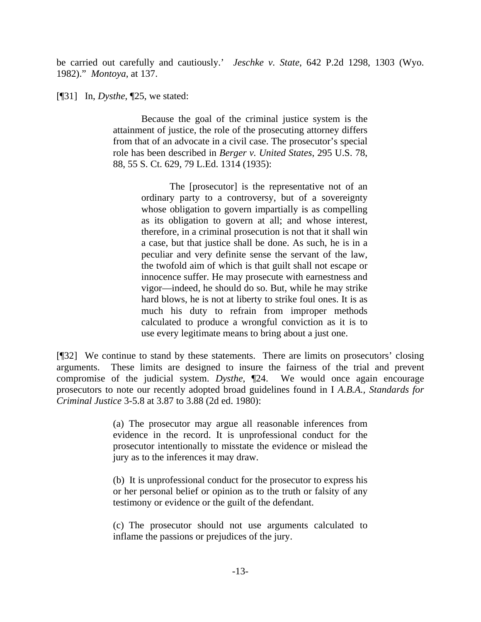be carried out carefully and cautiously.' *Jeschke v. State*, 642 P.2d 1298, 1303 (Wyo. 1982)." *Montoya*, at 137.

[¶31] In, *Dysthe*, ¶25, we stated:

 Because the goal of the criminal justice system is the attainment of justice, the role of the prosecuting attorney differs from that of an advocate in a civil case. The prosecutor's special role has been described in *Berger v. United States*, 295 U.S. 78, 88, 55 S. Ct. 629, 79 L.Ed. 1314 (1935):

> The [prosecutor] is the representative not of an ordinary party to a controversy, but of a sovereignty whose obligation to govern impartially is as compelling as its obligation to govern at all; and whose interest, therefore, in a criminal prosecution is not that it shall win a case, but that justice shall be done. As such, he is in a peculiar and very definite sense the servant of the law, the twofold aim of which is that guilt shall not escape or innocence suffer. He may prosecute with earnestness and vigor—indeed, he should do so. But, while he may strike hard blows, he is not at liberty to strike foul ones. It is as much his duty to refrain from improper methods calculated to produce a wrongful conviction as it is to use every legitimate means to bring about a just one.

[¶32] We continue to stand by these statements. There are limits on prosecutors' closing arguments. These limits are designed to insure the fairness of the trial and prevent compromise of the judicial system. *Dysthe*, ¶24. We would once again encourage prosecutors to note our recently adopted broad guidelines found in I *A.B.A., Standards for Criminal Justice* 3-5.8 at 3.87 to 3.88 (2d ed. 1980):

> (a) The prosecutor may argue all reasonable inferences from evidence in the record. It is unprofessional conduct for the prosecutor intentionally to misstate the evidence or mislead the jury as to the inferences it may draw.

> (b) It is unprofessional conduct for the prosecutor to express his or her personal belief or opinion as to the truth or falsity of any testimony or evidence or the guilt of the defendant.

> (c) The prosecutor should not use arguments calculated to inflame the passions or prejudices of the jury.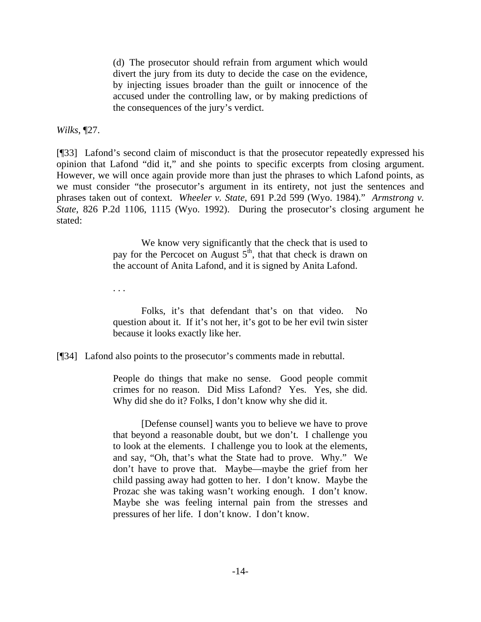(d) The prosecutor should refrain from argument which would divert the jury from its duty to decide the case on the evidence, by injecting issues broader than the guilt or innocence of the accused under the controlling law, or by making predictions of the consequences of the jury's verdict.

*Wilks*, ¶27.

. . .

[¶33] Lafond's second claim of misconduct is that the prosecutor repeatedly expressed his opinion that Lafond "did it," and she points to specific excerpts from closing argument. However, we will once again provide more than just the phrases to which Lafond points, as we must consider "the prosecutor's argument in its entirety, not just the sentences and phrases taken out of context. *Wheeler v. State*, 691 P.2d 599 (Wyo. 1984)." *Armstrong v. State*, 826 P.2d 1106, 1115 (Wyo. 1992). During the prosecutor's closing argument he stated:

> We know very significantly that the check that is used to pay for the Percocet on August  $5<sup>th</sup>$ , that that check is drawn on the account of Anita Lafond, and it is signed by Anita Lafond.

> Folks, it's that defendant that's on that video. No question about it. If it's not her, it's got to be her evil twin sister because it looks exactly like her.

[¶34] Lafond also points to the prosecutor's comments made in rebuttal.

People do things that make no sense. Good people commit crimes for no reason. Did Miss Lafond? Yes. Yes, she did. Why did she do it? Folks, I don't know why she did it.

 [Defense counsel] wants you to believe we have to prove that beyond a reasonable doubt, but we don't. I challenge you to look at the elements. I challenge you to look at the elements, and say, "Oh, that's what the State had to prove. Why." We don't have to prove that. Maybe—maybe the grief from her child passing away had gotten to her. I don't know. Maybe the Prozac she was taking wasn't working enough. I don't know. Maybe she was feeling internal pain from the stresses and pressures of her life. I don't know. I don't know.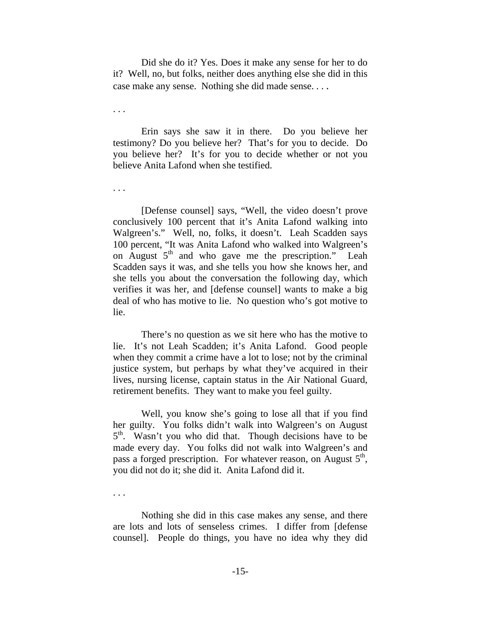Did she do it? Yes. Does it make any sense for her to do it? Well, no, but folks, neither does anything else she did in this case make any sense. Nothing she did made sense. . . .

. . .

. . .

 Erin says she saw it in there. Do you believe her testimony? Do you believe her? That's for you to decide. Do you believe her? It's for you to decide whether or not you believe Anita Lafond when she testified.

 [Defense counsel] says, "Well, the video doesn't prove conclusively 100 percent that it's Anita Lafond walking into Walgreen's." Well, no, folks, it doesn't. Leah Scadden says 100 percent, "It was Anita Lafond who walked into Walgreen's on August  $5<sup>th</sup>$  and who gave me the prescription." Leah Scadden says it was, and she tells you how she knows her, and she tells you about the conversation the following day, which verifies it was her, and [defense counsel] wants to make a big deal of who has motive to lie. No question who's got motive to lie.

 There's no question as we sit here who has the motive to lie. It's not Leah Scadden; it's Anita Lafond. Good people when they commit a crime have a lot to lose; not by the criminal justice system, but perhaps by what they've acquired in their lives, nursing license, captain status in the Air National Guard, retirement benefits. They want to make you feel guilty.

 Well, you know she's going to lose all that if you find her guilty. You folks didn't walk into Walgreen's on August 5<sup>th</sup>. Wasn't you who did that. Though decisions have to be made every day. You folks did not walk into Walgreen's and pass a forged prescription. For whatever reason, on August  $5<sup>th</sup>$ , you did not do it; she did it. Anita Lafond did it.

. . .

 Nothing she did in this case makes any sense, and there are lots and lots of senseless crimes. I differ from [defense counsel]. People do things, you have no idea why they did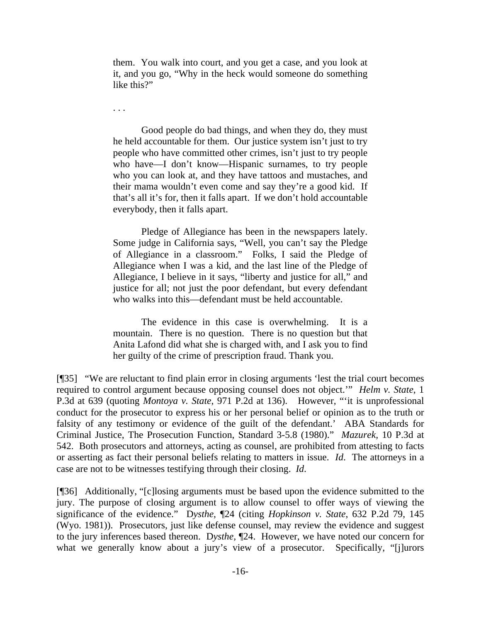them. You walk into court, and you get a case, and you look at it, and you go, "Why in the heck would someone do something like this?"

. . .

 Good people do bad things, and when they do, they must he held accountable for them. Our justice system isn't just to try people who have committed other crimes, isn't just to try people who have—I don't know—Hispanic surnames, to try people who you can look at, and they have tattoos and mustaches, and their mama wouldn't even come and say they're a good kid. If that's all it's for, then it falls apart. If we don't hold accountable everybody, then it falls apart.

 Pledge of Allegiance has been in the newspapers lately. Some judge in California says, "Well, you can't say the Pledge of Allegiance in a classroom." Folks, I said the Pledge of Allegiance when I was a kid, and the last line of the Pledge of Allegiance, I believe in it says, "liberty and justice for all," and justice for all; not just the poor defendant, but every defendant who walks into this—defendant must be held accountable.

 The evidence in this case is overwhelming. It is a mountain. There is no question. There is no question but that Anita Lafond did what she is charged with, and I ask you to find her guilty of the crime of prescription fraud. Thank you.

[¶35] "We are reluctant to find plain error in closing arguments 'lest the trial court becomes required to control argument because opposing counsel does not object.'" *Helm v. State*, 1 P.3d at 639 (quoting *Montoya v. State*, 971 P.2d at 136). However, "'it is unprofessional conduct for the prosecutor to express his or her personal belief or opinion as to the truth or falsity of any testimony or evidence of the guilt of the defendant.' ABA Standards for Criminal Justice, The Prosecution Function, Standard 3-5.8 (1980)." *Mazurek,* 10 P.3d at 542. Both prosecutors and attorneys, acting as counsel, are prohibited from attesting to facts or asserting as fact their personal beliefs relating to matters in issue. *Id*. The attorneys in a case are not to be witnesses testifying through their closing. *Id*.

[¶36] Additionally, "[c]losing arguments must be based upon the evidence submitted to the jury. The purpose of closing argument is to allow counsel to offer ways of viewing the significance of the evidence." D*ysthe,* ¶24 (citing *Hopkinson v. State*, 632 P.2d 79, 145 (Wyo. 1981)). Prosecutors, just like defense counsel, may review the evidence and suggest to the jury inferences based thereon. D*ysthe,* ¶24. However, we have noted our concern for what we generally know about a jury's view of a prosecutor. Specifically, "[j]urors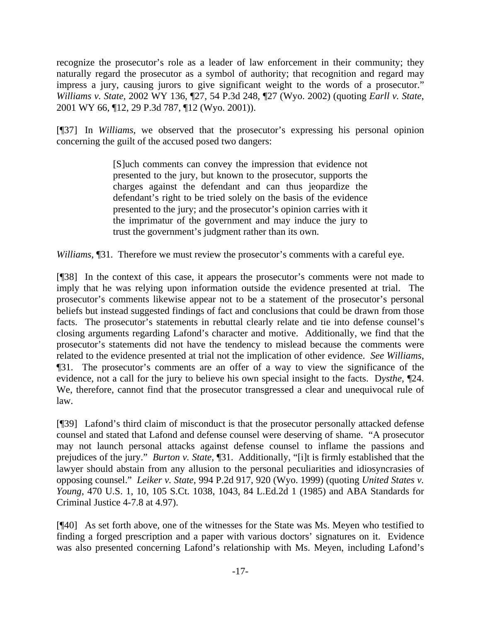recognize the prosecutor's role as a leader of law enforcement in their community; they naturally regard the prosecutor as a symbol of authority; that recognition and regard may impress a jury, causing jurors to give significant weight to the words of a prosecutor." *Williams v. State*, 2002 WY 136, ¶27, 54 P.3d 248, ¶27 (Wyo. 2002) (quoting *Earll v. State*, 2001 WY 66, ¶12, 29 P.3d 787, ¶12 (Wyo. 2001)).

[¶37] In *Williams*, we observed that the prosecutor's expressing his personal opinion concerning the guilt of the accused posed two dangers:

> [S]uch comments can convey the impression that evidence not presented to the jury, but known to the prosecutor, supports the charges against the defendant and can thus jeopardize the defendant's right to be tried solely on the basis of the evidence presented to the jury; and the prosecutor's opinion carries with it the imprimatur of the government and may induce the jury to trust the government's judgment rather than its own.

*Williams*, ¶31. Therefore we must review the prosecutor's comments with a careful eye.

[¶38] In the context of this case, it appears the prosecutor's comments were not made to imply that he was relying upon information outside the evidence presented at trial. The prosecutor's comments likewise appear not to be a statement of the prosecutor's personal beliefs but instead suggested findings of fact and conclusions that could be drawn from those facts. The prosecutor's statements in rebuttal clearly relate and tie into defense counsel's closing arguments regarding Lafond's character and motive. Additionally, we find that the prosecutor's statements did not have the tendency to mislead because the comments were related to the evidence presented at trial not the implication of other evidence. *See Williams*, ¶31. The prosecutor's comments are an offer of a way to view the significance of the evidence, not a call for the jury to believe his own special insight to the facts. D*ysthe,* ¶24. We, therefore, cannot find that the prosecutor transgressed a clear and unequivocal rule of law.

[¶39] Lafond's third claim of misconduct is that the prosecutor personally attacked defense counsel and stated that Lafond and defense counsel were deserving of shame. "A prosecutor may not launch personal attacks against defense counsel to inflame the passions and prejudices of the jury." *Burton v. State*, ¶31. Additionally, "[i]t is firmly established that the lawyer should abstain from any allusion to the personal peculiarities and idiosyncrasies of opposing counsel." *Leiker v. State*, 994 P.2d 917, 920 (Wyo. 1999) (quoting *United States v. Young*, 470 U.S. 1, 10, 105 S.Ct. 1038, 1043, 84 L.Ed.2d 1 (1985) and ABA Standards for Criminal Justice 4-7.8 at 4.97).

[¶40] As set forth above, one of the witnesses for the State was Ms. Meyen who testified to finding a forged prescription and a paper with various doctors' signatures on it. Evidence was also presented concerning Lafond's relationship with Ms. Meyen, including Lafond's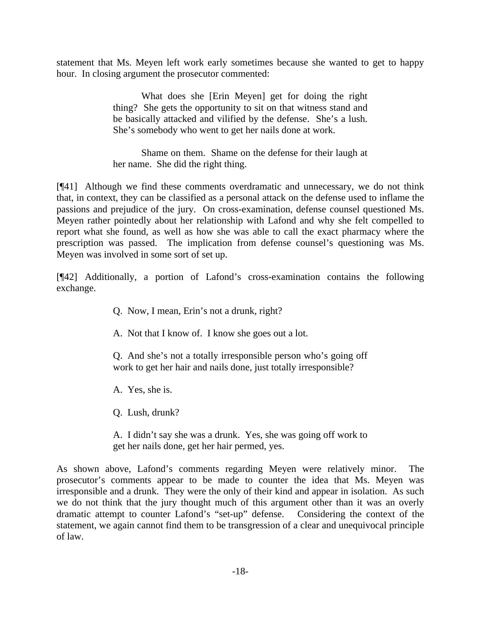statement that Ms. Meyen left work early sometimes because she wanted to get to happy hour. In closing argument the prosecutor commented:

> What does she [Erin Meyen] get for doing the right thing? She gets the opportunity to sit on that witness stand and be basically attacked and vilified by the defense. She's a lush. She's somebody who went to get her nails done at work.

> Shame on them. Shame on the defense for their laugh at her name. She did the right thing.

[¶41] Although we find these comments overdramatic and unnecessary, we do not think that, in context, they can be classified as a personal attack on the defense used to inflame the passions and prejudice of the jury. On cross-examination, defense counsel questioned Ms. Meyen rather pointedly about her relationship with Lafond and why she felt compelled to report what she found, as well as how she was able to call the exact pharmacy where the prescription was passed. The implication from defense counsel's questioning was Ms. Meyen was involved in some sort of set up.

[¶42] Additionally, a portion of Lafond's cross-examination contains the following exchange.

- Q. Now, I mean, Erin's not a drunk, right?
- A. Not that I know of. I know she goes out a lot.

Q. And she's not a totally irresponsible person who's going off work to get her hair and nails done, just totally irresponsible?

A. Yes, she is.

Q. Lush, drunk?

A. I didn't say she was a drunk. Yes, she was going off work to get her nails done, get her hair permed, yes.

As shown above, Lafond's comments regarding Meyen were relatively minor. The prosecutor's comments appear to be made to counter the idea that Ms. Meyen was irresponsible and a drunk. They were the only of their kind and appear in isolation. As such we do not think that the jury thought much of this argument other than it was an overly dramatic attempt to counter Lafond's "set-up" defense. Considering the context of the statement, we again cannot find them to be transgression of a clear and unequivocal principle of law.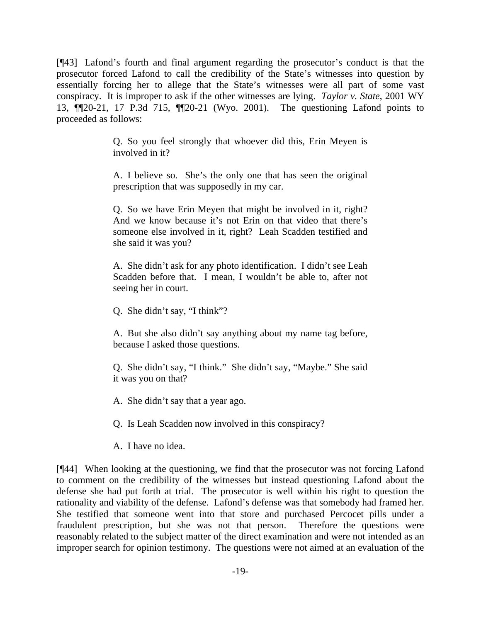[¶43] Lafond's fourth and final argument regarding the prosecutor's conduct is that the prosecutor forced Lafond to call the credibility of the State's witnesses into question by essentially forcing her to allege that the State's witnesses were all part of some vast conspiracy. It is improper to ask if the other witnesses are lying. *Taylor v. State*, 2001 WY 13, ¶¶20-21, 17 P.3d 715, ¶¶20-21 (Wyo. 2001). The questioning Lafond points to proceeded as follows:

> Q. So you feel strongly that whoever did this, Erin Meyen is involved in it?

> A. I believe so. She's the only one that has seen the original prescription that was supposedly in my car.

> Q. So we have Erin Meyen that might be involved in it, right? And we know because it's not Erin on that video that there's someone else involved in it, right? Leah Scadden testified and she said it was you?

> A. She didn't ask for any photo identification. I didn't see Leah Scadden before that. I mean, I wouldn't be able to, after not seeing her in court.

Q. She didn't say, "I think"?

A. But she also didn't say anything about my name tag before, because I asked those questions.

Q. She didn't say, "I think." She didn't say, "Maybe." She said it was you on that?

A. She didn't say that a year ago.

Q. Is Leah Scadden now involved in this conspiracy?

A. I have no idea.

[¶44] When looking at the questioning, we find that the prosecutor was not forcing Lafond to comment on the credibility of the witnesses but instead questioning Lafond about the defense she had put forth at trial. The prosecutor is well within his right to question the rationality and viability of the defense. Lafond's defense was that somebody had framed her. She testified that someone went into that store and purchased Percocet pills under a fraudulent prescription, but she was not that person. Therefore the questions were reasonably related to the subject matter of the direct examination and were not intended as an improper search for opinion testimony. The questions were not aimed at an evaluation of the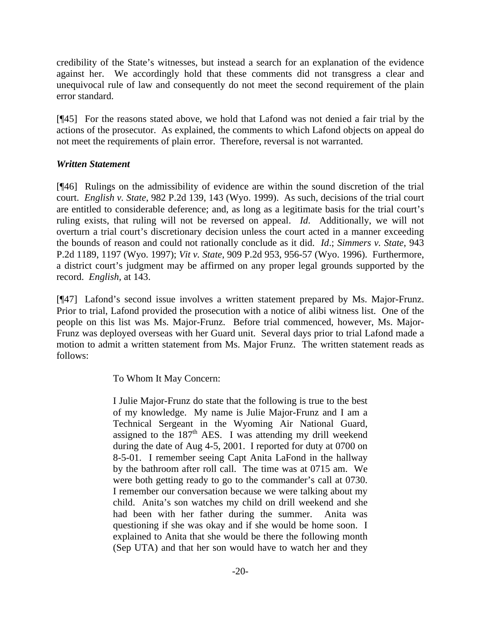credibility of the State's witnesses, but instead a search for an explanation of the evidence against her. We accordingly hold that these comments did not transgress a clear and unequivocal rule of law and consequently do not meet the second requirement of the plain error standard.

[¶45] For the reasons stated above, we hold that Lafond was not denied a fair trial by the actions of the prosecutor. As explained, the comments to which Lafond objects on appeal do not meet the requirements of plain error. Therefore, reversal is not warranted.

### *Written Statement*

[¶46] Rulings on the admissibility of evidence are within the sound discretion of the trial court. *English v. State*, 982 P.2d 139, 143 (Wyo. 1999). As such, decisions of the trial court are entitled to considerable deference; and, as long as a legitimate basis for the trial court's ruling exists, that ruling will not be reversed on appeal. *Id*. Additionally, we will not overturn a trial court's discretionary decision unless the court acted in a manner exceeding the bounds of reason and could not rationally conclude as it did. *Id*.; *Simmers v. State*, 943 P.2d 1189, 1197 (Wyo. 1997); *Vit v. State*, 909 P.2d 953, 956-57 (Wyo. 1996). Furthermore, a district court's judgment may be affirmed on any proper legal grounds supported by the record. *English,* at 143.

[¶47] Lafond's second issue involves a written statement prepared by Ms. Major-Frunz. Prior to trial, Lafond provided the prosecution with a notice of alibi witness list. One of the people on this list was Ms. Major-Frunz. Before trial commenced, however, Ms. Major-Frunz was deployed overseas with her Guard unit. Several days prior to trial Lafond made a motion to admit a written statement from Ms. Major Frunz. The written statement reads as follows:

To Whom It May Concern:

I Julie Major-Frunz do state that the following is true to the best of my knowledge. My name is Julie Major-Frunz and I am a Technical Sergeant in the Wyoming Air National Guard, assigned to the  $187<sup>th</sup>$  AES. I was attending my drill weekend during the date of Aug 4-5, 2001. I reported for duty at 0700 on 8-5-01. I remember seeing Capt Anita LaFond in the hallway by the bathroom after roll call. The time was at 0715 am. We were both getting ready to go to the commander's call at 0730. I remember our conversation because we were talking about my child. Anita's son watches my child on drill weekend and she had been with her father during the summer. Anita was questioning if she was okay and if she would be home soon. I explained to Anita that she would be there the following month (Sep UTA) and that her son would have to watch her and they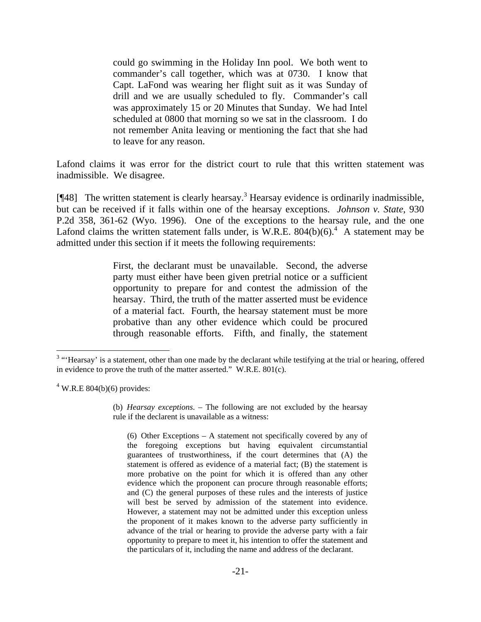could go swimming in the Holiday Inn pool. We both went to commander's call together, which was at 0730. I know that Capt. LaFond was wearing her flight suit as it was Sunday of drill and we are usually scheduled to fly. Commander's call was approximately 15 or 20 Minutes that Sunday. We had Intel scheduled at 0800 that morning so we sat in the classroom. I do not remember Anita leaving or mentioning the fact that she had to leave for any reason.

Lafond claims it was error for the district court to rule that this written statement was inadmissible. We disagree.

[¶48] The written statement is clearly hearsay.<sup>3</sup> Hearsay evidence is ordinarily inadmissible, but can be received if it falls within one of the hearsay exceptions. *Johnson v. State*, 930 P.2d 358, 361-62 (Wyo. 1996). One of the exceptions to the hearsay rule, and the one Lafond claims the written statement falls under, is W.R.E.  $804(b)(6)$ .<sup>4</sup> A statement may be admitted under this section if it meets the following requirements:

> First, the declarant must be unavailable. Second, the adverse party must either have been given pretrial notice or a sufficient opportunity to prepare for and contest the admission of the hearsay. Third, the truth of the matter asserted must be evidence of a material fact. Fourth, the hearsay statement must be more probative than any other evidence which could be procured through reasonable efforts. Fifth, and finally, the statement

 $4$  W.R.E 804(b)(6) provides:

(b) *Hearsay exceptions*. – The following are not excluded by the hearsay rule if the declarent is unavailable as a witness:

(6) Other Exceptions – A statement not specifically covered by any of the foregoing exceptions but having equivalent circumstantial guarantees of trustworthiness, if the court determines that (A) the statement is offered as evidence of a material fact; (B) the statement is more probative on the point for which it is offered than any other evidence which the proponent can procure through reasonable efforts; and (C) the general purposes of these rules and the interests of justice will best be served by admission of the statement into evidence. However, a statement may not be admitted under this exception unless the proponent of it makes known to the adverse party sufficiently in advance of the trial or hearing to provide the adverse party with a fair opportunity to prepare to meet it, his intention to offer the statement and the particulars of it, including the name and address of the declarant.

<sup>&</sup>lt;sup>3</sup> "Hearsay' is a statement, other than one made by the declarant while testifying at the trial or hearing, offered in evidence to prove the truth of the matter asserted." W.R.E. 801(c).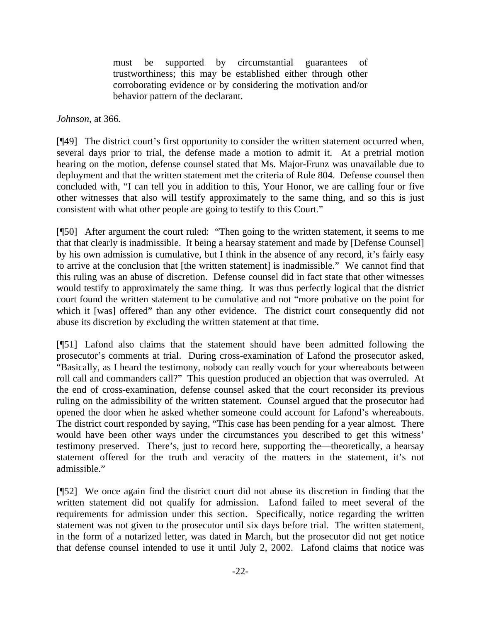must be supported by circumstantial guarantees of trustworthiness; this may be established either through other corroborating evidence or by considering the motivation and/or behavior pattern of the declarant.

*Johnson*, at 366.

[¶49] The district court's first opportunity to consider the written statement occurred when, several days prior to trial, the defense made a motion to admit it. At a pretrial motion hearing on the motion, defense counsel stated that Ms. Major-Frunz was unavailable due to deployment and that the written statement met the criteria of Rule 804. Defense counsel then concluded with, "I can tell you in addition to this, Your Honor, we are calling four or five other witnesses that also will testify approximately to the same thing, and so this is just consistent with what other people are going to testify to this Court."

[¶50] After argument the court ruled: "Then going to the written statement, it seems to me that that clearly is inadmissible. It being a hearsay statement and made by [Defense Counsel] by his own admission is cumulative, but I think in the absence of any record, it's fairly easy to arrive at the conclusion that [the written statement] is inadmissible." We cannot find that this ruling was an abuse of discretion. Defense counsel did in fact state that other witnesses would testify to approximately the same thing. It was thus perfectly logical that the district court found the written statement to be cumulative and not "more probative on the point for which it [was] offered" than any other evidence. The district court consequently did not abuse its discretion by excluding the written statement at that time.

[¶51] Lafond also claims that the statement should have been admitted following the prosecutor's comments at trial. During cross-examination of Lafond the prosecutor asked, "Basically, as I heard the testimony, nobody can really vouch for your whereabouts between roll call and commanders call?" This question produced an objection that was overruled. At the end of cross-examination, defense counsel asked that the court reconsider its previous ruling on the admissibility of the written statement. Counsel argued that the prosecutor had opened the door when he asked whether someone could account for Lafond's whereabouts. The district court responded by saying, "This case has been pending for a year almost. There would have been other ways under the circumstances you described to get this witness' testimony preserved. There's, just to record here, supporting the—theoretically, a hearsay statement offered for the truth and veracity of the matters in the statement, it's not admissible."

[¶52] We once again find the district court did not abuse its discretion in finding that the written statement did not qualify for admission. Lafond failed to meet several of the requirements for admission under this section. Specifically, notice regarding the written statement was not given to the prosecutor until six days before trial. The written statement, in the form of a notarized letter, was dated in March, but the prosecutor did not get notice that defense counsel intended to use it until July 2, 2002. Lafond claims that notice was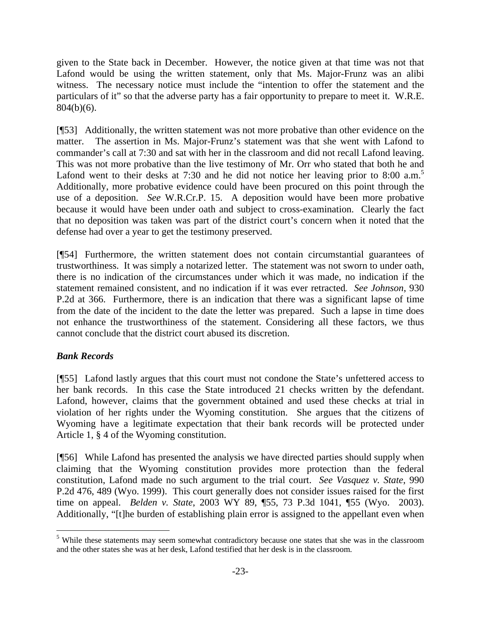given to the State back in December. However, the notice given at that time was not that Lafond would be using the written statement, only that Ms. Major-Frunz was an alibi witness. The necessary notice must include the "intention to offer the statement and the particulars of it" so that the adverse party has a fair opportunity to prepare to meet it. W.R.E. 804(b)(6).

[¶53] Additionally, the written statement was not more probative than other evidence on the matter. The assertion in Ms. Major-Frunz's statement was that she went with Lafond to commander's call at 7:30 and sat with her in the classroom and did not recall Lafond leaving. This was not more probative than the live testimony of Mr. Orr who stated that both he and Lafond went to their desks at 7:30 and he did not notice her leaving prior to 8:00  $a.m.^5$ Additionally, more probative evidence could have been procured on this point through the use of a deposition. *See* W.R.Cr.P. 15. A deposition would have been more probative because it would have been under oath and subject to cross-examination. Clearly the fact that no deposition was taken was part of the district court's concern when it noted that the defense had over a year to get the testimony preserved.

[¶54] Furthermore, the written statement does not contain circumstantial guarantees of trustworthiness. It was simply a notarized letter. The statement was not sworn to under oath, there is no indication of the circumstances under which it was made, no indication if the statement remained consistent, and no indication if it was ever retracted. *See Johnson*, 930 P.2d at 366. Furthermore, there is an indication that there was a significant lapse of time from the date of the incident to the date the letter was prepared. Such a lapse in time does not enhance the trustworthiness of the statement. Considering all these factors, we thus cannot conclude that the district court abused its discretion.

# *Bank Records*

 $\overline{a}$ 

[¶55] Lafond lastly argues that this court must not condone the State's unfettered access to her bank records. In this case the State introduced 21 checks written by the defendant. Lafond, however, claims that the government obtained and used these checks at trial in violation of her rights under the Wyoming constitution. She argues that the citizens of Wyoming have a legitimate expectation that their bank records will be protected under Article 1, § 4 of the Wyoming constitution.

[¶56] While Lafond has presented the analysis we have directed parties should supply when claiming that the Wyoming constitution provides more protection than the federal constitution, Lafond made no such argument to the trial court. *See Vasquez v. State*, 990 P.2d 476, 489 (Wyo. 1999). This court generally does not consider issues raised for the first time on appeal. *Belden v. State*, 2003 WY 89, ¶55, 73 P.3d 1041, ¶55 (Wyo. 2003). Additionally, "[t]he burden of establishing plain error is assigned to the appellant even when

<sup>&</sup>lt;sup>5</sup> While these statements may seem somewhat contradictory because one states that she was in the classroom and the other states she was at her desk, Lafond testified that her desk is in the classroom.